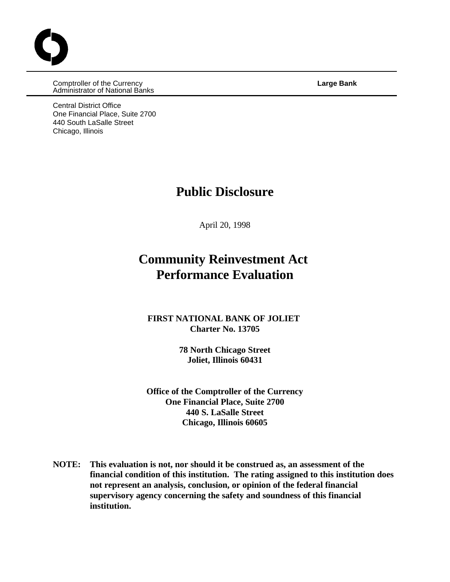Comptroller of the Currency **Large Bank** Administrator of National Banks

Central District Office One Financial Place, Suite 2700 440 South LaSalle Street Chicago, Illinois

## **Public Disclosure**

April 20, 1998

## **Community Reinvestment Act Performance Evaluation**

#### **FIRST NATIONAL BANK OF JOLIET Charter No. 13705**

**78 North Chicago Street Joliet, Illinois 60431**

**Office of the Comptroller of the Currency One Financial Place, Suite 2700 440 S. LaSalle Street Chicago, Illinois 60605**

**NOTE: This evaluation is not, nor should it be construed as, an assessment of the financial condition of this institution. The rating assigned to this institution does not represent an analysis, conclusion, or opinion of the federal financial supervisory agency concerning the safety and soundness of this financial institution.**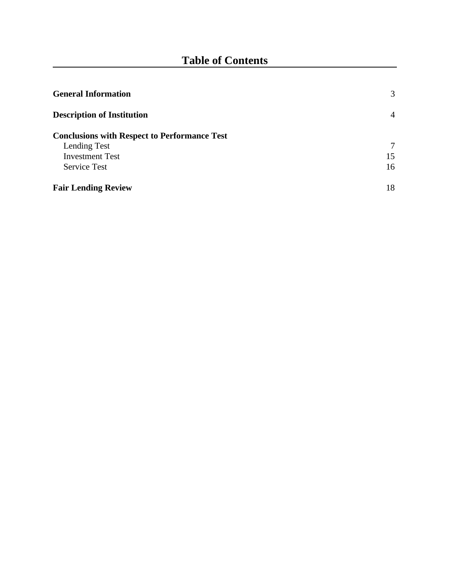| <b>General Information</b>                          | 3              |
|-----------------------------------------------------|----------------|
| <b>Description of Institution</b>                   | $\overline{4}$ |
| <b>Conclusions with Respect to Performance Test</b> |                |
| Lending Test                                        | 7              |
| <b>Investment Test</b>                              | 15             |
| <b>Service Test</b>                                 | 16             |
| <b>Fair Lending Review</b>                          | 18             |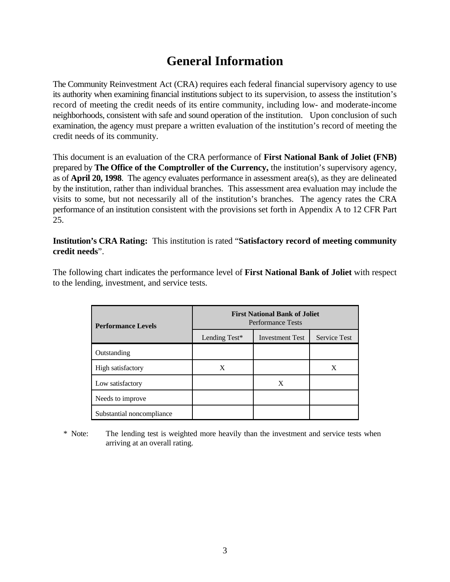# **General Information**

The Community Reinvestment Act (CRA) requires each federal financial supervisory agency to use its authority when examining financial institutions subject to its supervision, to assess the institution's record of meeting the credit needs of its entire community, including low- and moderate-income neighborhoods, consistent with safe and sound operation of the institution. Upon conclusion of such examination, the agency must prepare a written evaluation of the institution's record of meeting the credit needs of its community.

This document is an evaluation of the CRA performance of **First National Bank of Joliet (FNB)** prepared by **The Office of the Comptroller of the Currency,** the institution's supervisory agency, as of **April 20, 1998**. The agency evaluates performance in assessment area(s), as they are delineated by the institution, rather than individual branches. This assessment area evaluation may include the visits to some, but not necessarily all of the institution's branches. The agency rates the CRA performance of an institution consistent with the provisions set forth in Appendix A to 12 CFR Part 25.

**Institution's CRA Rating:** This institution is rated "**Satisfactory record of meeting community credit needs**".

The following chart indicates the performance level of **First National Bank of Joliet** with respect to the lending, investment, and service tests.

| <b>Performance Levels</b> | <b>First National Bank of Joliet</b><br><b>Performance Tests</b> |                        |                     |  |  |  |  |  |
|---------------------------|------------------------------------------------------------------|------------------------|---------------------|--|--|--|--|--|
|                           | Lending Test*                                                    | <b>Investment Test</b> | <b>Service Test</b> |  |  |  |  |  |
| Outstanding               |                                                                  |                        |                     |  |  |  |  |  |
| High satisfactory         | X                                                                |                        | X                   |  |  |  |  |  |
| Low satisfactory          |                                                                  | X                      |                     |  |  |  |  |  |
| Needs to improve          |                                                                  |                        |                     |  |  |  |  |  |
| Substantial noncompliance |                                                                  |                        |                     |  |  |  |  |  |

\* Note: The lending test is weighted more heavily than the investment and service tests when arriving at an overall rating.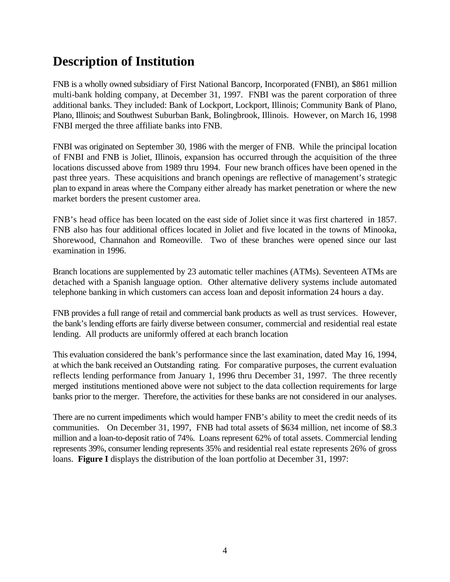# **Description of Institution**

FNB is a wholly owned subsidiary of First National Bancorp, Incorporated (FNBI), an \$861 million multi-bank holding company, at December 31, 1997. FNBI was the parent corporation of three additional banks. They included: Bank of Lockport, Lockport, Illinois; Community Bank of Plano, Plano, Illinois; and Southwest Suburban Bank, Bolingbrook, Illinois. However, on March 16, 1998 FNBI merged the three affiliate banks into FNB.

FNBI was originated on September 30, 1986 with the merger of FNB. While the principal location of FNBI and FNB is Joliet, Illinois, expansion has occurred through the acquisition of the three locations discussed above from 1989 thru 1994. Four new branch offices have been opened in the past three years. These acquisitions and branch openings are reflective of management's strategic plan to expand in areas where the Company either already has market penetration or where the new market borders the present customer area.

FNB's head office has been located on the east side of Joliet since it was first chartered in 1857. FNB also has four additional offices located in Joliet and five located in the towns of Minooka, Shorewood, Channahon and Romeoville. Two of these branches were opened since our last examination in 1996.

Branch locations are supplemented by 23 automatic teller machines (ATMs). Seventeen ATMs are detached with a Spanish language option. Other alternative delivery systems include automated telephone banking in which customers can access loan and deposit information 24 hours a day.

FNB provides a full range of retail and commercial bank products as well as trust services. However, the bank's lending efforts are fairly diverse between consumer, commercial and residential real estate lending. All products are uniformly offered at each branch location

This evaluation considered the bank's performance since the last examination, dated May 16, 1994, at which the bank received an Outstanding rating. For comparative purposes, the current evaluation reflects lending performance from January 1, 1996 thru December 31, 1997. The three recently merged institutions mentioned above were not subject to the data collection requirements for large banks prior to the merger. Therefore, the activities for these banks are not considered in our analyses.

There are no current impediments which would hamper FNB's ability to meet the credit needs of its communities. On December 31, 1997, FNB had total assets of \$634 million, net income of \$8.3 million and a loan-to-deposit ratio of 74%. Loans represent 62% of total assets. Commercial lending represents 39%, consumer lending represents 35% and residential real estate represents 26% of gross loans. **Figure I** displays the distribution of the loan portfolio at December 31, 1997: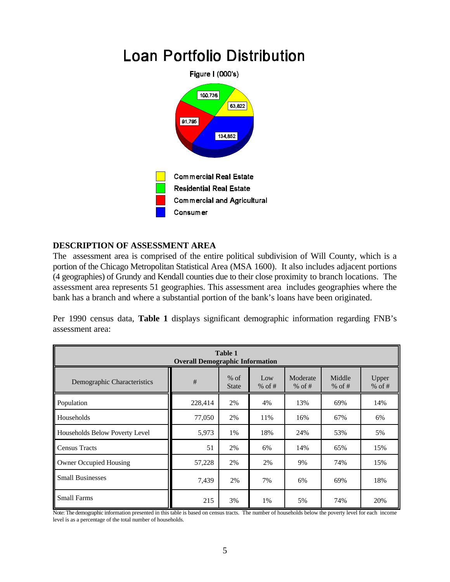

#### **DESCRIPTION OF ASSESSMENT AREA**

The assessment area is comprised of the entire political subdivision of Will County, which is a portion of the Chicago Metropolitan Statistical Area (MSA 1600). It also includes adjacent portions (4 geographies) of Grundy and Kendall counties due to their close proximity to branch locations. The assessment area represents 51 geographies. This assessment area includes geographies where the bank has a branch and where a substantial portion of the bank's loans have been originated.

Per 1990 census data, **Table 1** displays significant demographic information regarding FNB's assessment area:

| <b>Table 1</b><br><b>Overall Demographic Information</b> |         |                        |                 |                      |                  |                   |  |  |  |  |
|----------------------------------------------------------|---------|------------------------|-----------------|----------------------|------------------|-------------------|--|--|--|--|
| Demographic Characteristics                              | #       | $%$ of<br><b>State</b> | Low<br>% of $#$ | Moderate<br>% of $#$ | Middle<br>% of # | Upper<br>$%$ of # |  |  |  |  |
| Population                                               | 228,414 | 2%                     | 4%              | 13%                  | 69%              | 14%               |  |  |  |  |
| Households                                               | 77,050  | 2%                     | 11%             | 16%                  | 67%              | 6%                |  |  |  |  |
| Households Below Poverty Level                           | 5,973   | 1%                     | 18%             | 24%                  | 53%              | 5%                |  |  |  |  |
| <b>Census Tracts</b>                                     | 51      | 2%                     | 6%              | 14%                  | 65%              | 15%               |  |  |  |  |
| <b>Owner Occupied Housing</b>                            | 57,228  | 2%                     | 2%              | 9%                   | 74%              | 15%               |  |  |  |  |
| <b>Small Businesses</b>                                  | 7,439   | 2%                     | 7%              | 6%                   | 69%              | 18%               |  |  |  |  |
| <b>Small Farms</b>                                       | 215     | 3%                     | 1%              | 5%                   | 74%              | 20%               |  |  |  |  |

Note: The demographic information presented in this table is based on census tracts. The number of households below the poverty level for each income level is as a percentage of the total number of households.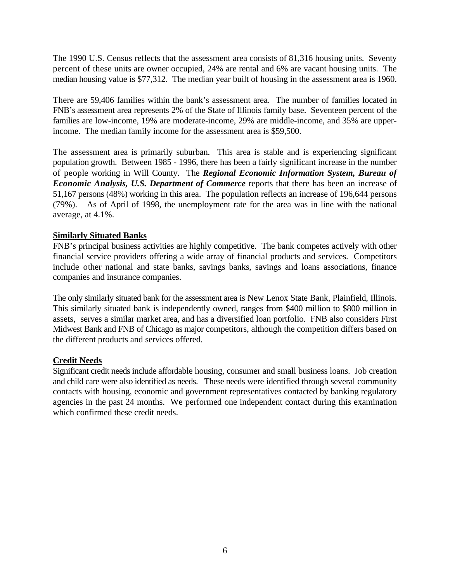The 1990 U.S. Census reflects that the assessment area consists of 81,316 housing units. Seventy percent of these units are owner occupied, 24% are rental and 6% are vacant housing units. The median housing value is \$77,312. The median year built of housing in the assessment area is 1960.

There are 59,406 families within the bank's assessment area. The number of families located in FNB's assessment area represents 2% of the State of Illinois family base. Seventeen percent of the families are low-income, 19% are moderate-income, 29% are middle-income, and 35% are upperincome. The median family income for the assessment area is \$59,500.

The assessment area is primarily suburban. This area is stable and is experiencing significant population growth. Between 1985 - 1996, there has been a fairly significant increase in the number of people working in Will County. The *Regional Economic Information System, Bureau of Economic Analysis, U.S. Department of Commerce* reports that there has been an increase of 51,167 persons (48%) working in this area. The population reflects an increase of 196,644 persons (79%). As of April of 1998, the unemployment rate for the area was in line with the national average, at 4.1%.

#### **Similarly Situated Banks**

FNB's principal business activities are highly competitive. The bank competes actively with other financial service providers offering a wide array of financial products and services. Competitors include other national and state banks, savings banks, savings and loans associations, finance companies and insurance companies.

The only similarly situated bank for the assessment area is New Lenox State Bank, Plainfield, Illinois. This similarly situated bank is independently owned, ranges from \$400 million to \$800 million in assets, serves a similar market area, and has a diversified loan portfolio. FNB also considers First Midwest Bank and FNB of Chicago as major competitors, although the competition differs based on the different products and services offered.

#### **Credit Needs**

Significant credit needs include affordable housing, consumer and small business loans. Job creation and child care were also identified as needs. These needs were identified through several community contacts with housing, economic and government representatives contacted by banking regulatory agencies in the past 24 months. We performed one independent contact during this examination which confirmed these credit needs.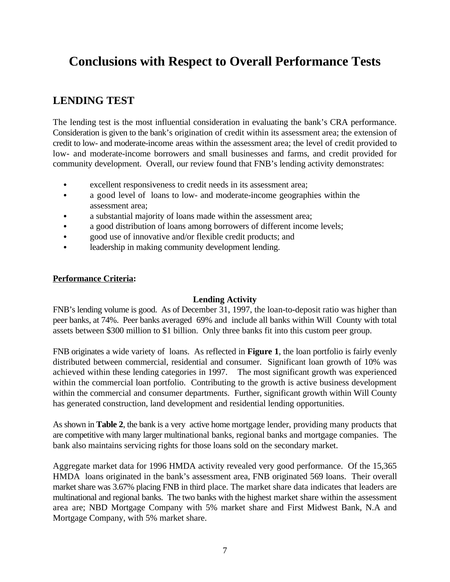# **Conclusions with Respect to Overall Performance Tests**

### **LENDING TEST**

The lending test is the most influential consideration in evaluating the bank's CRA performance. Consideration is given to the bank's origination of credit within its assessment area; the extension of credit to low- and moderate-income areas within the assessment area; the level of credit provided to low- and moderate-income borrowers and small businesses and farms, and credit provided for community development. Overall, our review found that FNB's lending activity demonstrates:

- excellent responsiveness to credit needs in its assessment area;
- a good level of loans to low- and moderate-income geographies within the assessment area;
- a substantial majority of loans made within the assessment area;
- a good distribution of loans among borrowers of different income levels;
- good use of innovative and/or flexible credit products; and
- leadership in making community development lending.

#### **Performance Criteria:**

#### **Lending Activity**

FNB's lending volume is good. As of December 31, 1997, the loan-to-deposit ratio was higher than peer banks, at 74%. Peer banks averaged 69% and include all banks within Will County with total assets between \$300 million to \$1 billion. Only three banks fit into this custom peer group.

FNB originates a wide variety of loans. As reflected in **Figure 1**, the loan portfolio is fairly evenly distributed between commercial, residential and consumer. Significant loan growth of 10% was achieved within these lending categories in 1997. The most significant growth was experienced within the commercial loan portfolio. Contributing to the growth is active business development within the commercial and consumer departments. Further, significant growth within Will County has generated construction, land development and residential lending opportunities.

As shown in **Table 2**, the bank is a very active home mortgage lender, providing many products that are competitive with many larger multinational banks, regional banks and mortgage companies. The bank also maintains servicing rights for those loans sold on the secondary market.

Aggregate market data for 1996 HMDA activity revealed very good performance. Of the 15,365 HMDA loans originated in the bank's assessment area, FNB originated 569 loans. Their overall market share was 3.67% placing FNB in third place. The market share data indicates that leaders are multinational and regional banks. The two banks with the highest market share within the assessment area are; NBD Mortgage Company with 5% market share and First Midwest Bank, N.A and Mortgage Company, with 5% market share.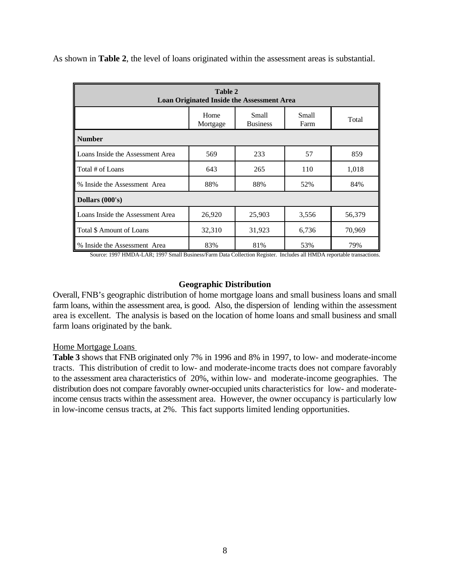As shown in **Table 2**, the level of loans originated within the assessment areas is substantial.

| <b>Table 2</b><br><b>Loan Originated Inside the Assessment Area</b>  |        |        |       |        |  |  |  |  |  |  |
|----------------------------------------------------------------------|--------|--------|-------|--------|--|--|--|--|--|--|
| <b>Small</b><br>Home<br>Small<br><b>Business</b><br>Farm<br>Mortgage |        |        |       |        |  |  |  |  |  |  |
| <b>Number</b>                                                        |        |        |       |        |  |  |  |  |  |  |
| Loans Inside the Assessment Area                                     | 569    | 233    | 57    | 859    |  |  |  |  |  |  |
| Total # of Loans                                                     | 643    | 265    | 110   | 1,018  |  |  |  |  |  |  |
| % Inside the Assessment Area                                         | 88%    | 88%    | 52%   | 84%    |  |  |  |  |  |  |
| Dollars (000's)                                                      |        |        |       |        |  |  |  |  |  |  |
| Loans Inside the Assessment Area                                     | 26,920 | 25,903 | 3,556 | 56,379 |  |  |  |  |  |  |
| Total \$ Amount of Loans                                             | 32,310 | 31,923 | 6,736 | 70,969 |  |  |  |  |  |  |
| % Inside the Assessment Area                                         | 83%    | 81%    | 53%   | 79%    |  |  |  |  |  |  |

Source: 1997 HMDA-LAR; 1997 Small Business/Farm Data Collection Register. Includes all HMDA reportable transactions.

#### **Geographic Distribution**

Overall, FNB's geographic distribution of home mortgage loans and small business loans and small farm loans, within the assessment area, is good. Also, the dispersion of lending within the assessment area is excellent. The analysis is based on the location of home loans and small business and small farm loans originated by the bank.

Home Mortgage Loans

**Table 3** shows that FNB originated only 7% in 1996 and 8% in 1997, to low- and moderate-income tracts. This distribution of credit to low- and moderate-income tracts does not compare favorably to the assessment area characteristics of 20%, within low- and moderate-income geographies. The distribution does not compare favorably owner-occupied units characteristics for low- and moderateincome census tracts within the assessment area. However, the owner occupancy is particularly low in low-income census tracts, at 2%. This fact supports limited lending opportunities.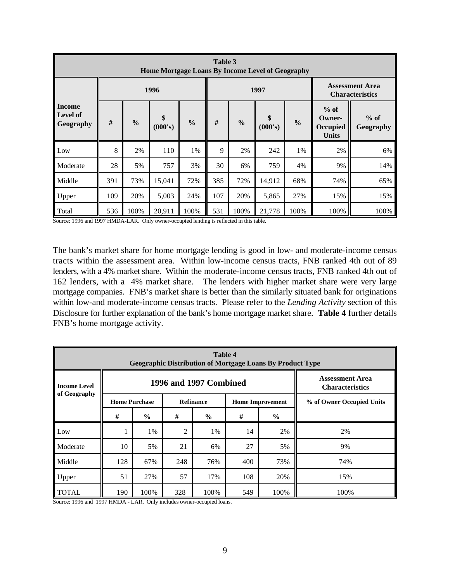| Table 3<br><b>Home Mortgage Loans By Income Level of Geography</b> |     |               |               |               |                                                                                                                                    |      |        |      |                                                  |      |  |
|--------------------------------------------------------------------|-----|---------------|---------------|---------------|------------------------------------------------------------------------------------------------------------------------------------|------|--------|------|--------------------------------------------------|------|--|
|                                                                    |     |               | 1996          |               |                                                                                                                                    |      | 1997   |      | <b>Assessment Area</b><br><b>Characteristics</b> |      |  |
| <b>Income</b><br><b>Level of</b><br>Geography                      | #   | $\frac{0}{0}$ | \$<br>(000's) | $\frac{0}{0}$ | $%$ of<br>\$<br>$%$ of<br>Owner-<br>$\frac{6}{6}$<br>#<br>$\frac{0}{0}$<br>(000's)<br><b>Occupied</b><br>Geography<br><b>Units</b> |      |        |      |                                                  |      |  |
| Low                                                                | 8   | 2%            | 110           | 1%            | 9                                                                                                                                  | 2%   | 242    | 1%   | 2%                                               | 6%   |  |
| Moderate                                                           | 28  | 5%            | 757           | 3%            | 30                                                                                                                                 | 6%   | 759    | 4%   | 9%                                               | 14%  |  |
| Middle                                                             | 391 | 73%           | 15,041        | 72%           | 385                                                                                                                                | 72%  | 14,912 | 68%  | 74%                                              | 65%  |  |
| Upper                                                              | 109 | 20%           | 5,003         | 24%           | 107                                                                                                                                | 20%  | 5,865  | 27%  | 15%                                              | 15%  |  |
| Total                                                              | 536 | 100%          | 20,911        | 100%          | 531                                                                                                                                | 100% | 21,778 | 100% | 100%                                             | 100% |  |

Source: 1996 and 1997 HMDA-LAR. Only owner-occupied lending is reflected in this table.

The bank's market share for home mortgage lending is good in low- and moderate-income census tracts within the assessment area. Within low-income census tracts, FNB ranked 4th out of 89 lenders, with a 4% market share. Within the moderate-income census tracts, FNB ranked 4th out of 162 lenders, with a 4% market share. The lenders with higher market share were very large mortgage companies. FNB's market share is better than the similarly situated bank for originations within low-and moderate-income census tracts. Please refer to the *Lending Activity* section of this Disclosure for further explanation of the bank's home mortgage market share. **Table 4** further details FNB's home mortgage activity.

| <b>Table 4</b><br><b>Geographic Distribution of Mortgage Loans By Product Type</b> |                      |                                                  |     |                  |     |                         |                           |  |  |  |  |
|------------------------------------------------------------------------------------|----------------------|--------------------------------------------------|-----|------------------|-----|-------------------------|---------------------------|--|--|--|--|
| <b>Income Level</b>                                                                |                      | <b>Assessment Area</b><br><b>Characteristics</b> |     |                  |     |                         |                           |  |  |  |  |
| of Geography                                                                       | <b>Home Purchase</b> |                                                  |     | <b>Refinance</b> |     | <b>Home Improvement</b> | % of Owner Occupied Units |  |  |  |  |
|                                                                                    | #                    | $\frac{6}{9}$                                    | #   | $\frac{6}{6}$    | #   | $\frac{0}{0}$           |                           |  |  |  |  |
| Low                                                                                |                      | 1%                                               | 2   | 1%               | 14  | 2%                      | 2%                        |  |  |  |  |
| Moderate                                                                           | 10                   | 5%                                               | 21  | 6%               | 27  | 5%                      | 9%                        |  |  |  |  |
| Middle                                                                             | 128                  | 67%                                              | 248 | 76%              | 400 | 73%                     | 74%                       |  |  |  |  |
| Upper                                                                              | 51                   | 27%                                              | 57  | 17%              | 108 | 20%                     | 15%                       |  |  |  |  |
| <b>TOTAL</b>                                                                       | 190                  | 100%                                             | 328 | 100%             | 549 | 100%                    | 100%                      |  |  |  |  |

Source: 1996 and 1997 HMDA - LAR. Only includes owner-occupied loans.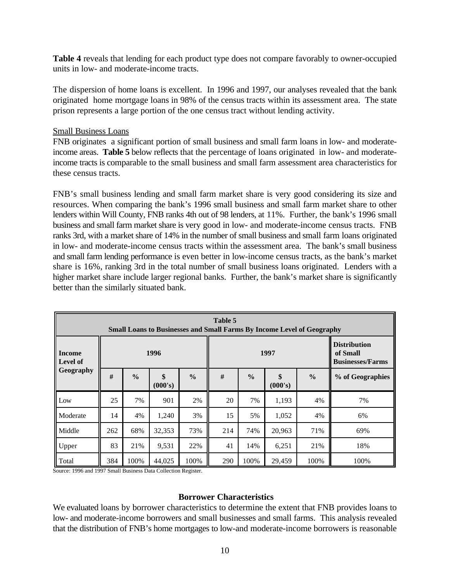**Table 4** reveals that lending for each product type does not compare favorably to owner-occupied units in low- and moderate-income tracts.

The dispersion of home loans is excellent. In 1996 and 1997, our analyses revealed that the bank originated home mortgage loans in 98% of the census tracts within its assessment area. The state prison represents a large portion of the one census tract without lending activity.

#### Small Business Loans

FNB originates a significant portion of small business and small farm loans in low- and moderateincome areas. **Table 5** below reflects that the percentage of loans originated in low- and moderateincome tracts is comparable to the small business and small farm assessment area characteristics for these census tracts.

FNB's small business lending and small farm market share is very good considering its size and resources. When comparing the bank's 1996 small business and small farm market share to other lenders within Will County, FNB ranks 4th out of 98 lenders, at 11%. Further, the bank's 1996 small business and small farm market share is very good in low- and moderate-income census tracts. FNB ranks 3rd, with a market share of 14% in the number of small business and small farm loans originated in low- and moderate-income census tracts within the assessment area. The bank's small business and small farm lending performance is even better in low-income census tracts, as the bank's market share is 16%, ranking 3rd in the total number of small business loans originated. Lenders with a higher market share include larger regional banks. Further, the bank's market share is significantly better than the similarly situated bank.

| Table 5<br><b>Small Loans to Businesses and Small Farms By Income Level of Geography</b> |     |               |               |               |      |               |               |               |                                                            |  |  |
|------------------------------------------------------------------------------------------|-----|---------------|---------------|---------------|------|---------------|---------------|---------------|------------------------------------------------------------|--|--|
| <b>Income</b><br><b>Level of</b>                                                         |     |               | 1996          |               | 1997 |               |               |               | <b>Distribution</b><br>of Small<br><b>Businesses/Farms</b> |  |  |
| Geography                                                                                | #   | $\frac{0}{0}$ | \$<br>(000's) | $\frac{0}{0}$ | #    | $\frac{0}{0}$ | \$<br>(000's) | $\frac{0}{0}$ | % of Geographies                                           |  |  |
| Low                                                                                      | 25  | 7%            | 901           | 2%            | 20   | 7%            | 1,193         | 4%            | 7%                                                         |  |  |
| Moderate                                                                                 | 14  | 4%            | 1,240         | 3%            | 15   | 5%            | 1,052         | 4%            | 6%                                                         |  |  |
| Middle                                                                                   | 262 | 68%           | 32,353        | 73%           | 214  | 74%           | 20,963        | 71%           | 69%                                                        |  |  |
| Upper                                                                                    | 83  | 21%           | 9,531         | 22%           | 41   | 14%           | 6,251         | 21%           | 18%                                                        |  |  |
| Total                                                                                    | 384 | 100%          | 44,025        | 100%          | 290  | 100%          | 29,459        | 100%          | 100%                                                       |  |  |

Source: 1996 and 1997 Small Business Data Collection Register.

#### **Borrower Characteristics**

We evaluated loans by borrower characteristics to determine the extent that FNB provides loans to low- and moderate-income borrowers and small businesses and small farms. This analysis revealed that the distribution of FNB's home mortgages to low-and moderate-income borrowers is reasonable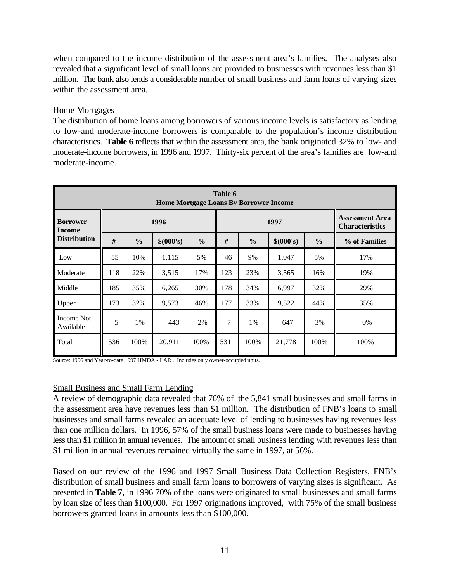when compared to the income distribution of the assessment area's families. The analyses also revealed that a significant level of small loans are provided to businesses with revenues less than \$1 million. The bank also lends a considerable number of small business and farm loans of varying sizes within the assessment area.

#### Home Mortgages

The distribution of home loans among borrowers of various income levels is satisfactory as lending to low-and moderate-income borrowers is comparable to the population's income distribution characteristics. **Table 6** reflects that within the assessment area, the bank originated 32% to low- and moderate-income borrowers, in 1996 and 1997. Thirty-six percent of the area's families are low-and moderate-income.

| Table 6<br><b>Home Mortgage Loans By Borrower Income</b> |     |               |           |               |     |               |               |                                                  |      |  |  |
|----------------------------------------------------------|-----|---------------|-----------|---------------|-----|---------------|---------------|--------------------------------------------------|------|--|--|
| <b>Borrower</b><br>Income                                |     |               | 1996      |               |     | 1997          |               | <b>Assessment Area</b><br><b>Characteristics</b> |      |  |  |
| <b>Distribution</b>                                      | #   | $\frac{0}{0}$ | \$(000's) | $\frac{0}{0}$ | #   | $\frac{0}{0}$ | % of Families |                                                  |      |  |  |
| Low                                                      | 55  | 10%           | 1,115     | 5%            | 46  | 9%            | 1,047         | 5%                                               | 17%  |  |  |
| Moderate                                                 | 118 | 22%           | 3,515     | 17%           | 123 | 23%           | 3,565         | 16%                                              | 19%  |  |  |
| Middle                                                   | 185 | 35%           | 6,265     | 30%           | 178 | 34%           | 6,997         | 32%                                              | 29%  |  |  |
| Upper                                                    | 173 | 32%           | 9,573     | 46%           | 177 | 33%           | 9,522         | 44%                                              | 35%  |  |  |
| Income Not<br>Available                                  | 5   | 1%            | 443       | 2%            | 7   | 1%            | 647           | 3%                                               | 0%   |  |  |
| Total                                                    | 536 | 100%          | 20,911    | 100%          | 531 | 100%          | 21,778        | 100%                                             | 100% |  |  |

Source: 1996 and Year-to-date 1997 HMDA - LAR . Includes only owner-occupied units.

#### Small Business and Small Farm Lending

A review of demographic data revealed that 76% of the 5,841 small businesses and small farms in the assessment area have revenues less than \$1 million. The distribution of FNB's loans to small businesses and small farms revealed an adequate level of lending to businesses having revenues less than one million dollars. In 1996, 57% of the small business loans were made to businesses having less than \$1 million in annual revenues. The amount of small business lending with revenues less than \$1 million in annual revenues remained virtually the same in 1997, at 56%.

Based on our review of the 1996 and 1997 Small Business Data Collection Registers, FNB's distribution of small business and small farm loans to borrowers of varying sizes is significant. As presented in **Table 7**, in 1996 70% of the loans were originated to small businesses and small farms by loan size of less than \$100,000. For 1997 originations improved, with 75% of the small business borrowers granted loans in amounts less than \$100,000.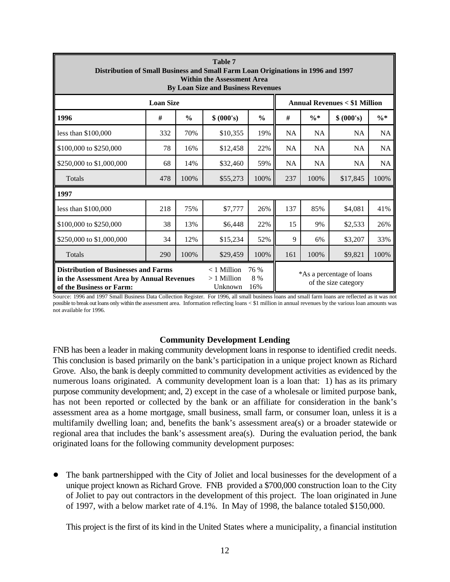| <b>Table 7</b><br>Distribution of Small Business and Small Farm Loan Originations in 1996 and 1997<br><b>Within the Assessment Area</b><br><b>By Loan Size and Business Revenues</b> |                                          |                    |                                                   |               |           |                 |            |           |  |  |
|--------------------------------------------------------------------------------------------------------------------------------------------------------------------------------------|------------------------------------------|--------------------|---------------------------------------------------|---------------|-----------|-----------------|------------|-----------|--|--|
|                                                                                                                                                                                      |                                          |                    | <b>Annual Revenues &lt; \$1 Million</b>           |               |           |                 |            |           |  |  |
| 1996                                                                                                                                                                                 | #                                        | $\frac{0}{0}$      | \$ (000's)                                        | $\frac{0}{0}$ | #         | $\frac{0}{6}$ * | \$ (000's) | $\% *$    |  |  |
| less than \$100,000                                                                                                                                                                  | 332                                      | 70%                | \$10,355                                          | 19%           | <b>NA</b> | <b>NA</b>       | NA         | <b>NA</b> |  |  |
| \$100,000 to \$250,000                                                                                                                                                               | 78                                       | 16%                | \$12,458                                          | 22%           | <b>NA</b> | <b>NA</b>       | <b>NA</b>  | NA        |  |  |
| \$250,000 to \$1,000,000                                                                                                                                                             | 68                                       | 14%                | \$32,460                                          | 59%           | <b>NA</b> | NA              | NA         | NA        |  |  |
| Totals                                                                                                                                                                               | 478                                      | 100%               | \$55,273                                          | 100%          | 237       | 100%            | \$17,845   | 100%      |  |  |
| 1997                                                                                                                                                                                 |                                          |                    |                                                   |               |           |                 |            |           |  |  |
| less than \$100,000                                                                                                                                                                  | 218                                      | 75%                | \$7,777                                           | 26%           | 137       | 85%             | \$4,081    | 41%       |  |  |
| \$100,000 to \$250,000                                                                                                                                                               | 38                                       | 13%                | \$6,448                                           | 22%           | 15        | 9%              | \$2,533    | 26%       |  |  |
| \$250,000 to \$1,000,000                                                                                                                                                             | 34                                       | 12%                | \$15,234                                          | 52%           | 9         | 6%              | \$3,207    | 33%       |  |  |
| Totals                                                                                                                                                                               | 290                                      | 100%               | \$29,459                                          | 100%          | 161       | 100%            | \$9,821    | 100%      |  |  |
| <b>Distribution of Businesses and Farms</b><br>in the Assessment Area by Annual Revenues<br>of the Business or Farm:                                                                 | $<$ 1 Million<br>$>1$ Million<br>Unknown | 76 %<br>8 %<br>16% | *As a percentage of loans<br>of the size category |               |           |                 |            |           |  |  |

Source: 1996 and 1997 Small Business Data Collection Register. For 1996, all small business loans and small farm loans are reflected as it was not possible to break out loans only within the assessment area. Information reflecting loans < \$1 million in annual revenues by the various loan amounts was not available for 1996.

#### **Community Development Lending**

FNB has been a leader in making community development loans in response to identified credit needs. This conclusion is based primarily on the bank's participation in a unique project known as Richard Grove. Also, the bank is deeply committed to community development activities as evidenced by the numerous loans originated. A community development loan is a loan that: 1) has as its primary purpose community development; and, 2) except in the case of a wholesale or limited purpose bank, has not been reported or collected by the bank or an affiliate for consideration in the bank's assessment area as a home mortgage, small business, small farm, or consumer loan, unless it is a multifamily dwelling loan; and, benefits the bank's assessment area(s) or a broader statewide or regional area that includes the bank's assessment area(s). During the evaluation period, the bank originated loans for the following community development purposes:

! The bank partnershipped with the City of Joliet and local businesses for the development of a unique project known as Richard Grove. FNB provided a \$700,000 construction loan to the City of Joliet to pay out contractors in the development of this project. The loan originated in June of 1997, with a below market rate of 4.1%. In May of 1998, the balance totaled \$150,000.

This project is the first of its kind in the United States where a municipality, a financial institution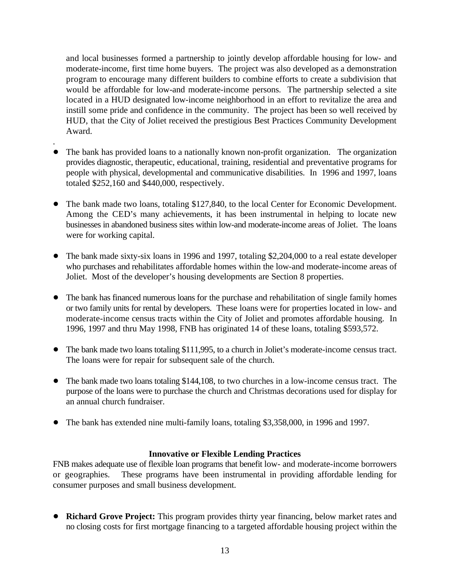and local businesses formed a partnership to jointly develop affordable housing for low- and moderate-income, first time home buyers. The project was also developed as a demonstration program to encourage many different builders to combine efforts to create a subdivision that would be affordable for low-and moderate-income persons. The partnership selected a site located in a HUD designated low-income neighborhood in an effort to revitalize the area and instill some pride and confidence in the community. The project has been so well received by HUD, that the City of Joliet received the prestigious Best Practices Community Development Award.

- . • The bank has provided loans to a nationally known non-profit organization. The organization provides diagnostic, therapeutic, educational, training, residential and preventative programs for people with physical, developmental and communicative disabilities. In 1996 and 1997, loans totaled \$252,160 and \$440,000, respectively.
- The bank made two loans, totaling \$127,840, to the local Center for Economic Development. Among the CED's many achievements, it has been instrumental in helping to locate new businesses in abandoned business sites within low-and moderate-income areas of Joliet. The loans were for working capital.
- The bank made sixty-six loans in 1996 and 1997, totaling \$2,204,000 to a real estate developer who purchases and rehabilitates affordable homes within the low-and moderate-income areas of Joliet. Most of the developer's housing developments are Section 8 properties.
- The bank has financed numerous loans for the purchase and rehabilitation of single family homes or two family units for rental by developers. These loans were for properties located in low- and moderate-income census tracts within the City of Joliet and promotes affordable housing. In 1996, 1997 and thru May 1998, FNB has originated 14 of these loans, totaling \$593,572.
- The bank made two loans totaling \$111,995, to a church in Joliet's moderate-income census tract. The loans were for repair for subsequent sale of the church.
- The bank made two loans totaling \$144,108, to two churches in a low-income census tract. The purpose of the loans were to purchase the church and Christmas decorations used for display for an annual church fundraiser.
- The bank has extended nine multi-family loans, totaling \$3,358,000, in 1996 and 1997.

#### **Innovative or Flexible Lending Practices**

FNB makes adequate use of flexible loan programs that benefit low- and moderate-income borrowers or geographies. These programs have been instrumental in providing affordable lending for consumer purposes and small business development.

! **Richard Grove Project:** This program provides thirty year financing, below market rates and no closing costs for first mortgage financing to a targeted affordable housing project within the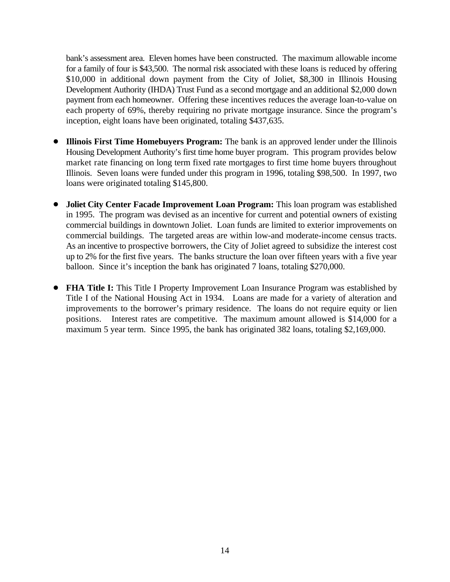bank's assessment area. Eleven homes have been constructed. The maximum allowable income for a family of four is \$43,500. The normal risk associated with these loans is reduced by offering \$10,000 in additional down payment from the City of Joliet, \$8,300 in Illinois Housing Development Authority (IHDA) Trust Fund as a second mortgage and an additional \$2,000 down payment from each homeowner. Offering these incentives reduces the average loan-to-value on each property of 69%, thereby requiring no private mortgage insurance. Since the program's inception, eight loans have been originated, totaling \$437,635.

- ! **Illinois First Time Homebuyers Program:** The bank is an approved lender under the Illinois Housing Development Authority's first time home buyer program. This program provides below market rate financing on long term fixed rate mortgages to first time home buyers throughout Illinois. Seven loans were funded under this program in 1996, totaling \$98,500. In 1997, two loans were originated totaling \$145,800.
- ! **Joliet City Center Facade Improvement Loan Program:** This loan program was established in 1995. The program was devised as an incentive for current and potential owners of existing commercial buildings in downtown Joliet. Loan funds are limited to exterior improvements on commercial buildings. The targeted areas are within low-and moderate-income census tracts. As an incentive to prospective borrowers, the City of Joliet agreed to subsidize the interest cost up to 2% for the first five years. The banks structure the loan over fifteen years with a five year balloon. Since it's inception the bank has originated 7 loans, totaling \$270,000.
- ! **FHA Title I:** This Title I Property Improvement Loan Insurance Program was established by Title I of the National Housing Act in 1934. Loans are made for a variety of alteration and improvements to the borrower's primary residence. The loans do not require equity or lien positions. Interest rates are competitive. The maximum amount allowed is \$14,000 for a maximum 5 year term. Since 1995, the bank has originated 382 loans, totaling \$2,169,000.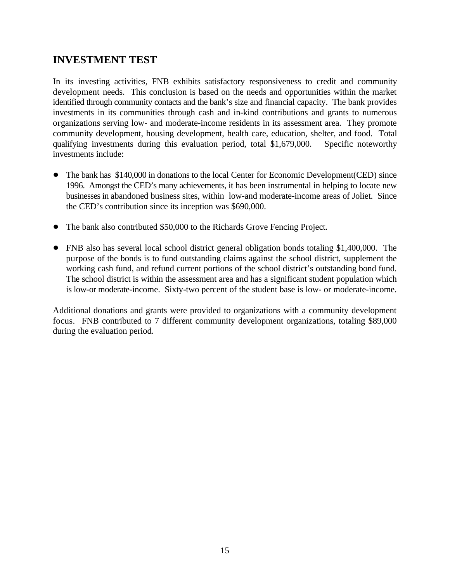### **INVESTMENT TEST**

In its investing activities, FNB exhibits satisfactory responsiveness to credit and community development needs. This conclusion is based on the needs and opportunities within the market identified through community contacts and the bank's size and financial capacity. The bank provides investments in its communities through cash and in-kind contributions and grants to numerous organizations serving low- and moderate-income residents in its assessment area. They promote community development, housing development, health care, education, shelter, and food. Total qualifying investments during this evaluation period, total \$1,679,000. Specific noteworthy investments include:

- The bank has \$140,000 in donations to the local Center for Economic Development(CED) since 1996. Amongst the CED's many achievements, it has been instrumental in helping to locate new businesses in abandoned business sites, within low-and moderate-income areas of Joliet. Since the CED's contribution since its inception was \$690,000.
- The bank also contributed \$50,000 to the Richards Grove Fencing Project.
- FNB also has several local school district general obligation bonds totaling \$1,400,000. The purpose of the bonds is to fund outstanding claims against the school district, supplement the working cash fund, and refund current portions of the school district's outstanding bond fund. The school district is within the assessment area and has a significant student population which is low-or moderate-income. Sixty-two percent of the student base is low- or moderate-income.

Additional donations and grants were provided to organizations with a community development focus. FNB contributed to 7 different community development organizations, totaling \$89,000 during the evaluation period.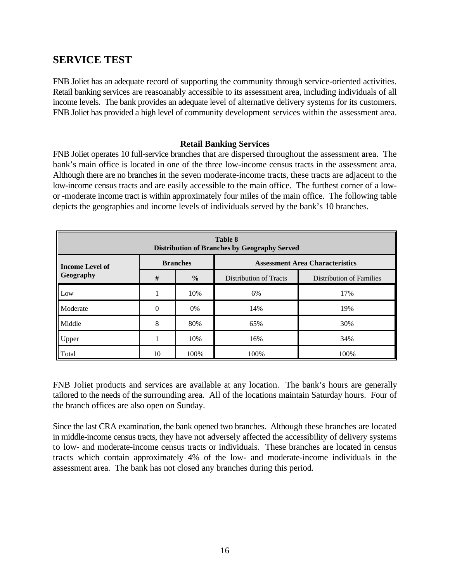### **SERVICE TEST**

FNB Joliet has an adequate record of supporting the community through service-oriented activities. Retail banking services are reasoanably accessible to its assessment area, including individuals of all income levels. The bank provides an adequate level of alternative delivery systems for its customers. FNB Joliet has provided a high level of community development services within the assessment area.

#### **Retail Banking Services**

FNB Joliet operates 10 full-service branches that are dispersed throughout the assessment area. The bank's main office is located in one of the three low-income census tracts in the assessment area. Although there are no branches in the seven moderate-income tracts, these tracts are adjacent to the low-income census tracts and are easily accessible to the main office. The furthest corner of a lowor -moderate income tract is within approximately four miles of the main office. The following table depicts the geographies and income levels of individuals served by the bank's 10 branches.

| Table 8<br><b>Distribution of Branches by Geography Served</b>               |    |               |                               |                                 |  |  |  |  |  |  |
|------------------------------------------------------------------------------|----|---------------|-------------------------------|---------------------------------|--|--|--|--|--|--|
| <b>Branches</b><br><b>Assessment Area Characteristics</b><br>Income Level of |    |               |                               |                                 |  |  |  |  |  |  |
| <b>Geography</b>                                                             | #  | $\frac{0}{0}$ | <b>Distribution of Tracts</b> | <b>Distribution of Families</b> |  |  |  |  |  |  |
| Low                                                                          |    | 10%           | 6%                            | 17%                             |  |  |  |  |  |  |
| <b>Moderate</b>                                                              | 0  | $0\%$         | 14%                           | 19%                             |  |  |  |  |  |  |
| Middle                                                                       | 8  | 80%           | 65%                           | 30%                             |  |  |  |  |  |  |
| Upper                                                                        |    | 10%           | 16%                           | 34%                             |  |  |  |  |  |  |
| Total                                                                        | 10 | 100%          | 100%                          | 100%                            |  |  |  |  |  |  |

FNB Joliet products and services are available at any location. The bank's hours are generally tailored to the needs of the surrounding area. All of the locations maintain Saturday hours. Four of the branch offices are also open on Sunday.

Since the last CRA examination, the bank opened two branches. Although these branches are located in middle-income census tracts, they have not adversely affected the accessibility of delivery systems to low- and moderate-income census tracts or individuals. These branches are located in census tracts which contain approximately 4% of the low- and moderate-income individuals in the assessment area. The bank has not closed any branches during this period.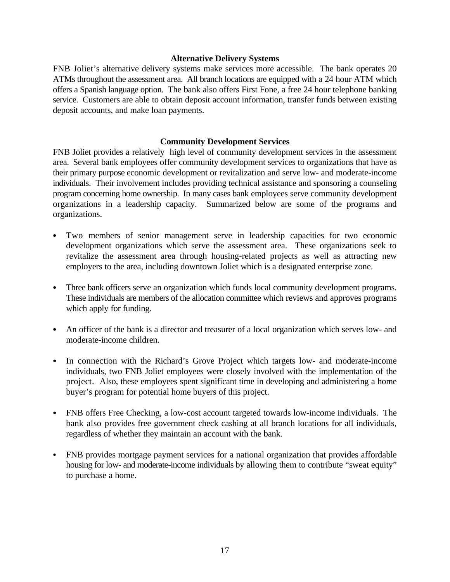#### **Alternative Delivery Systems**

FNB Joliet's alternative delivery systems make services more accessible. The bank operates 20 ATMs throughout the assessment area. All branch locations are equipped with a 24 hour ATM which offers a Spanish language option. The bank also offers First Fone, a free 24 hour telephone banking service. Customers are able to obtain deposit account information, transfer funds between existing deposit accounts, and make loan payments.

#### **Community Development Services**

FNB Joliet provides a relatively high level of community development services in the assessment area. Several bank employees offer community development services to organizations that have as their primary purpose economic development or revitalization and serve low- and moderate-income individuals. Their involvement includes providing technical assistance and sponsoring a counseling program concerning home ownership. In many cases bank employees serve community development organizations in a leadership capacity. Summarized below are some of the programs and organizations.

- Two members of senior management serve in leadership capacities for two economic development organizations which serve the assessment area. These organizations seek to revitalize the assessment area through housing-related projects as well as attracting new employers to the area, including downtown Joliet which is a designated enterprise zone.
- Three bank officers serve an organization which funds local community development programs. These individuals are members of the allocation committee which reviews and approves programs which apply for funding.
- An officer of the bank is a director and treasurer of a local organization which serves low- and moderate-income children.
- In connection with the Richard's Grove Project which targets low- and moderate-income individuals, two FNB Joliet employees were closely involved with the implementation of the project. Also, these employees spent significant time in developing and administering a home buyer's program for potential home buyers of this project.
- FNB offers Free Checking, a low-cost account targeted towards low-income individuals. The bank also provides free government check cashing at all branch locations for all individuals, regardless of whether they maintain an account with the bank.
- FNB provides mortgage payment services for a national organization that provides affordable housing for low- and moderate-income individuals by allowing them to contribute "sweat equity" to purchase a home.